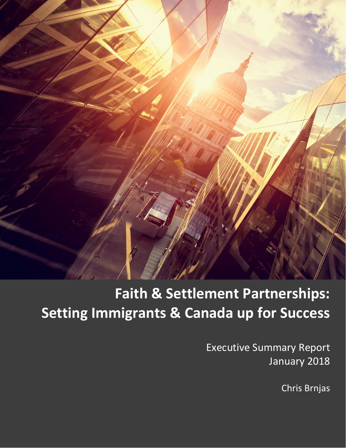

# **Faith & Settlement Partnerships: Setting Immigrants & Canada up for Success**

Executive Summary Report January 2018

Chris Brnjas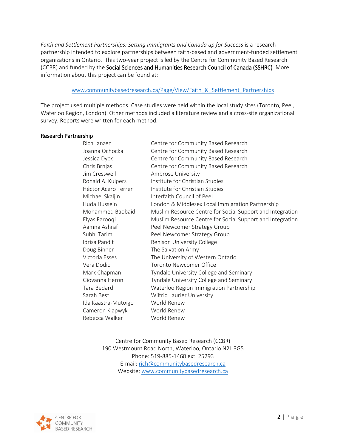Faith and Settlement Partnerships: Setting Immigrants and Canada up for Success is a research partnership intended to explore partnerships between faith-based and government-funded settlement organizations in Ontario. This two-year project is led by the Centre for Community Based Research (CCBR) and funded by the Social Sciences and Humanities Research Council of Canada (SSHRC). More information about this project can be found at:

#### www.communitybasedresearch.ca/Page/View/Faith & Settlement Partnerships

The project used multiple methods. Case studies were held within the local study sites (Toronto, Peel, Waterloo Region, London). Other methods included a literature review and a cross-site organizational survey. Reports were written for each method.

#### Research Partnership

| Rich Janzen         | Centre for Community Based Research                       |
|---------------------|-----------------------------------------------------------|
| Joanna Ochocka      | Centre for Community Based Research                       |
| Jessica Dyck        | Centre for Community Based Research                       |
| Chris Brnjas        | Centre for Community Based Research                       |
| lim Cresswell       | Ambrose University                                        |
| Ronald A. Kuipers   | Institute for Christian Studies                           |
| Héctor Acero Ferrer | Institute for Christian Studies                           |
| Michael Skaljin     | Interfaith Council of Peel                                |
| Huda Hussein        | London & Middlesex Local Immigration Partnership          |
| Mohammed Baobaid    | Muslim Resource Centre for Social Support and Integration |
| Elyas Farooqi       | Muslim Resource Centre for Social Support and Integration |
| Aamna Ashraf        | Peel Newcomer Strategy Group                              |
| Subhi Tarim         | Peel Newcomer Strategy Group                              |
| Idrisa Pandit       | Renison University College                                |
| Doug Binner         | The Salvation Army                                        |
| Victoria Esses      | The University of Western Ontario                         |
| Vera Dodic          | Toronto Newcomer Office                                   |
| Mark Chapman        | Tyndale University College and Seminary                   |
| Giovanna Heron      | Tyndale University College and Seminary                   |
| Tara Bedard         | Waterloo Region Immigration Partnership                   |
| Sarah Best          | Wilfrid Laurier University                                |
| Ida Kaastra-Mutoigo | World Renew                                               |
| Cameron Klapwyk     | World Renew                                               |
| Rebecca Walker      | World Renew                                               |

Centre for Community Based Research (CCBR) 190 Westmount Road North, Waterloo, Ontario N2L 3G5 Phone: 519-885-1460 ext. 25293 E-mail[: rich@communitybasedresearch.ca](mailto:rich@communitybasedresearch.ca) Website: [www.communitybasedresearch.ca](http://www.communitybasedresearch.ca/)

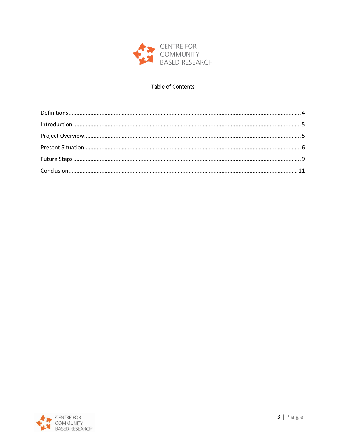

# **Table of Contents**

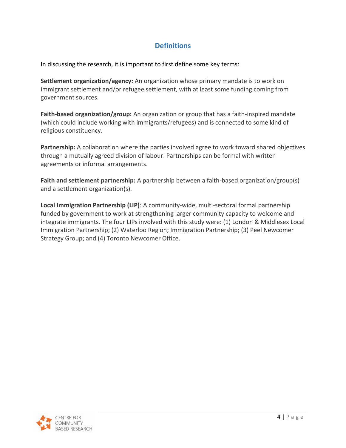# **Definitions**

<span id="page-3-0"></span>In discussing the research, it is important to first define some key terms:

**Settlement organization/agency:** An organization whose primary mandate is to work on immigrant settlement and/or refugee settlement, with at least some funding coming from government sources.

**Faith-based organization/group:** An organization or group that has a faith-inspired mandate (which could include working with immigrants/refugees) and is connected to some kind of religious constituency.

**Partnership:** A collaboration where the parties involved agree to work toward shared objectives through a mutually agreed division of labour. Partnerships can be formal with written agreements or informal arrangements.

**Faith and settlement partnership:** A partnership between a faith-based organization/group(s) and a settlement organization(s).

<span id="page-3-1"></span>**Local Immigration Partnership (LIP)**: A community-wide, multi-sectoral formal partnership funded by government to work at strengthening larger community capacity to welcome and integrate immigrants. The four LIPs involved with this study were: (1) London & Middlesex Local Immigration Partnership; (2) Waterloo Region; Immigration Partnership; (3) Peel Newcomer Strategy Group; and (4) Toronto Newcomer Office.

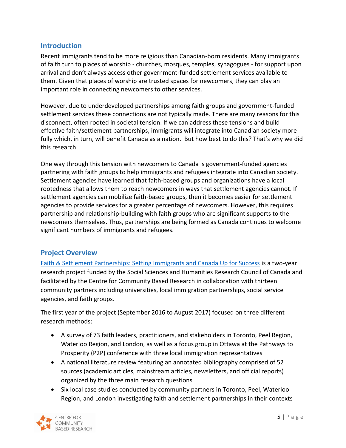# **Introduction**

Recent immigrants tend to be more religious than Canadian-born residents. Many immigrants of faith turn to places of worship - churches, mosques, temples, synagogues - for support upon arrival and don't always access other government-funded settlement services available to them. Given that places of worship are trusted spaces for newcomers, they can play an important role in connecting newcomers to other services.

However, due to underdeveloped partnerships among faith groups and government-funded settlement services these connections are not typically made. There are many reasons for this disconnect, often rooted in societal tension. If we can address these tensions and build effective faith/settlement partnerships, immigrants will integrate into Canadian society more fully which, in turn, will benefit Canada as a nation. But how best to do this? That's why we did this research.

One way through this tension with newcomers to Canada is government-funded agencies partnering with faith groups to help immigrants and refugees integrate into Canadian society. Settlement agencies have learned that faith-based groups and organizations have a local rootedness that allows them to reach newcomers in ways that settlement agencies cannot. If settlement agencies can mobilize faith-based groups, then it becomes easier for settlement agencies to provide services for a greater percentage of newcomers. However, this requires partnership and relationship-building with faith groups who are significant supports to the newcomers themselves. Thus, partnerships are being formed as Canada continues to welcome significant numbers of immigrants and refugees.

# <span id="page-4-0"></span>**Project Overview**

[Faith & Settlement Partnerships: Setting Immigrants and Canada Up for Success](http://www.communitybasedresearch.ca/Page/View/Faith_&_Settlement_Partnerships) is a two-year research project funded by the Social Sciences and Humanities Research Council of Canada and facilitated by the Centre for Community Based Research in collaboration with thirteen community partners including universities, local immigration partnerships, social service agencies, and faith groups.

The first year of the project (September 2016 to August 2017) focused on three different research methods:

- A survey of 73 faith leaders, practitioners, and stakeholders in Toronto, Peel Region, Waterloo Region, and London, as well as a focus group in Ottawa at the Pathways to Prosperity (P2P) conference with three local immigration representatives
- A national literature review featuring an annotated bibliography comprised of 52 sources (academic articles, mainstream articles, newsletters, and official reports) organized by the three main research questions
- Six local case studies conducted by community partners in Toronto, Peel, Waterloo Region, and London investigating faith and settlement partnerships in their contexts

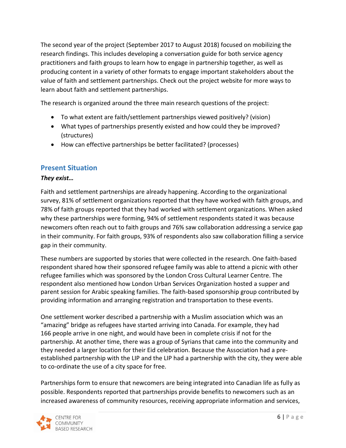The second year of the project (September 2017 to August 2018) focused on mobilizing the research findings. This includes developing a conversation guide for both service agency practitioners and faith groups to learn how to engage in partnership together, as well as producing content in a variety of other formats to engage important stakeholders about the value of faith and settlement partnerships. Check out the project website for more ways to learn about faith and settlement partnerships.

The research is organized around the three main research questions of the project:

- To what extent are faith/settlement partnerships viewed positively? (vision)
- What types of partnerships presently existed and how could they be improved? (structures)
- How can effective partnerships be better facilitated? (processes)

# <span id="page-5-0"></span>**Present Situation**

#### *They exist…*

Faith and settlement partnerships are already happening. According to the organizational survey, 81% of settlement organizations reported that they have worked with faith groups, and 78% of faith groups reported that they had worked with settlement organizations. When asked why these partnerships were forming, 94% of settlement respondents stated it was because newcomers often reach out to faith groups and 76% saw collaboration addressing a service gap in their community. For faith groups, 93% of respondents also saw collaboration filling a service gap in their community.

These numbers are supported by stories that were collected in the research. One faith-based respondent shared how their sponsored refugee family was able to attend a picnic with other refugee families which was sponsored by the London Cross Cultural Learner Centre. The respondent also mentioned how London Urban Services Organization hosted a supper and parent session for Arabic speaking families. The faith-based sponsorship group contributed by providing information and arranging registration and transportation to these events.

One settlement worker described a partnership with a Muslim association which was an "amazing" bridge as refugees have started arriving into Canada. For example, they had 166 people arrive in one night, and would have been in complete crisis if not for the partnership. At another time, there was a group of Syrians that came into the community and they needed a larger location for their Eid celebration. Because the Association had a preestablished partnership with the LIP and the LIP had a partnership with the city, they were able to co-ordinate the use of a city space for free.

Partnerships form to ensure that newcomers are being integrated into Canadian life as fully as possible. Respondents reported that partnerships provide benefits to newcomers such as an increased awareness of community resources, receiving appropriate information and services,

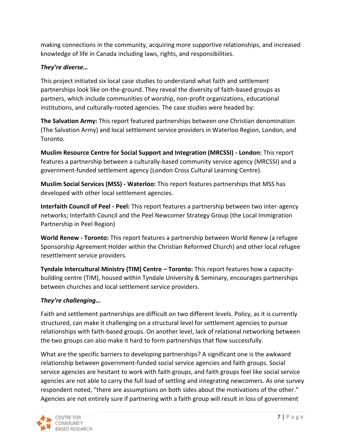making connections in the community, acquiring more supportive relationships, and increased knowledge of life in Canada including laws, rights, and responsibilities.

## *They're diverse…*

This project initiated six local case studies to understand what faith and settlement partnerships look like on-the-ground. They reveal the diversity of faith-based groups as partners, which include communities of worship, non-profit organizations, educational institutions, and culturally-rooted agencies. The case studies were headed by:

**The Salvation Army:** This report featured partnerships between one Christian denomination (The Salvation Army) and local settlement service providers in Waterloo Region, London, and Toronto.

**Muslim Resource Centre for Social Support and Integration (MRCSSI) - London:** This report features a partnership between a culturally-based community service agency (MRCSSI) and a government-funded settlement agency (London Cross Cultural Learning Centre).

**Muslim Social Services (MSS) - Waterloo:** This report features partnerships that MSS has developed with other local settlement agencies.

**Interfaith Council of Peel - Peel:** This report features a partnership between two inter-agency networks; Interfaith Council and the Peel Newcomer Strategy Group (the Local Immigration Partnership in Peel Region)

**World Renew - Toronto:** This report features a partnership between World Renew (a refugee Sponsorship Agreement Holder within the Christian Reformed Church) and other local refugee resettlement service providers.

**Tyndale Intercultural Ministry (TIM) Centre – Toronto:** This report features how a capacitybuilding centre (TIM), housed within Tyndale University & Seminary, encourages partnerships between churches and local settlement service providers.

# *They're challenging…*

Faith and settlement partnerships are difficult on two different levels. Policy, as it is currently structured, can make it challenging on a structural level for settlement agencies to pursue relationships with faith-based groups. On another level, lack of relational networking between the two groups can also make it hard to form partnerships that flow successfully.

What are the specific barriers to developing partnerships? A significant one is the awkward relationship between government-funded social service agencies and faith groups. Social service agencies are hesitant to work with faith groups, and faith groups feel like social service agencies are not able to carry the full load of settling and integrating newcomers. As one survey respondent noted, "there are assumptions on both sides about the motivations of the other." Agencies are not entirely sure if partnering with a faith group will result in loss of government

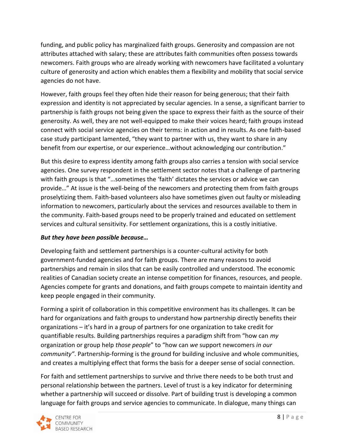funding, and public policy has marginalized faith groups. Generosity and compassion are not attributes attached with salary; these are attributes faith communities often possess towards newcomers. Faith groups who are already working with newcomers have facilitated a voluntary culture of generosity and action which enables them a flexibility and mobility that social service agencies do not have.

However, faith groups feel they often hide their reason for being generous; that their faith expression and identity is not appreciated by secular agencies. In a sense, a significant barrier to partnership is faith groups not being given the space to express their faith as the source of their generosity. As well, they are not well-equipped to make their voices heard; faith groups instead connect with social service agencies on their terms: in action and in results. As one faith-based case study participant lamented, "they want to partner with us, they want to share in any benefit from our expertise, or our experience…without acknowledging our contribution."

But this desire to express identity among faith groups also carries a tension with social service agencies. One survey respondent in the settlement sector notes that a challenge of partnering with faith groups is that "…sometimes the 'faith' dictates the services or advice we can provide…" At issue is the well-being of the newcomers and protecting them from faith groups proselytizing them. Faith-based volunteers also have sometimes given out faulty or misleading information to newcomers, particularly about the services and resources available to them in the community. Faith-based groups need to be properly trained and educated on settlement services and cultural sensitivity. For settlement organizations, this is a costly initiative.

## *But they have been possible because…*

Developing faith and settlement partnerships is a counter-cultural activity for both government-funded agencies and for faith groups. There are many reasons to avoid partnerships and remain in silos that can be easily controlled and understood. The economic realities of Canadian society create an intense competition for finances, resources, and people. Agencies compete for grants and donations, and faith groups compete to maintain identity and keep people engaged in their community.

Forming a spirit of collaboration in this competitive environment has its challenges. It can be hard for organizations and faith groups to understand how partnership directly benefits their organizations – it's hard in a group of partners for one organization to take credit for quantifiable results. Building partnerships requires a paradigm shift from "how can *my*  organization or group help *those people*" to "how can *we* support newcomers *in our community"*. Partnership-forming is the ground for building inclusive and whole communities, and creates a multiplying effect that forms the basis for a deeper sense of social connection.

For faith and settlement partnerships to survive and thrive there needs to be both trust and personal relationship between the partners. Level of trust is a key indicator for determining whether a partnership will succeed or dissolve. Part of building trust is developing a common language for faith groups and service agencies to communicate. In dialogue, many things can

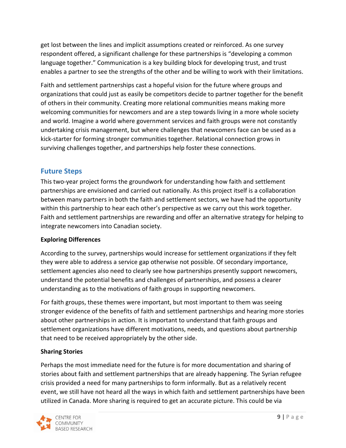get lost between the lines and implicit assumptions created or reinforced. As one survey respondent offered, a significant challenge for these partnerships is "developing a common language together." Communication is a key building block for developing trust, and trust enables a partner to see the strengths of the other and be willing to work with their limitations.

Faith and settlement partnerships cast a hopeful vision for the future where groups and organizations that could just as easily be competitors decide to partner together for the benefit of others in their community. Creating more relational communities means making more welcoming communities for newcomers and are a step towards living in a more whole society and world. Imagine a world where government services and faith groups were not constantly undertaking crisis management, but where challenges that newcomers face can be used as a kick-starter for forming stronger communities together. Relational connection grows in surviving challenges together, and partnerships help foster these connections.

# <span id="page-8-0"></span>**Future Steps**

This two-year project forms the groundwork for understanding how faith and settlement partnerships are envisioned and carried out nationally. As this project itself is a collaboration between many partners in both the faith and settlement sectors, we have had the opportunity within this partnership to hear each other's perspective as we carry out this work together. Faith and settlement partnerships are rewarding and offer an alternative strategy for helping to integrate newcomers into Canadian society.

## **Exploring Differences**

According to the survey, partnerships would increase for settlement organizations if they felt they were able to address a service gap otherwise not possible. Of secondary importance, settlement agencies also need to clearly see how partnerships presently support newcomers, understand the potential benefits and challenges of partnerships, and possess a clearer understanding as to the motivations of faith groups in supporting newcomers.

For faith groups, these themes were important, but most important to them was seeing stronger evidence of the benefits of faith and settlement partnerships and hearing more stories about other partnerships in action. It is important to understand that faith groups and settlement organizations have different motivations, needs, and questions about partnership that need to be received appropriately by the other side.

## **Sharing Stories**

Perhaps the most immediate need for the future is for more documentation and sharing of stories about faith and settlement partnerships that are already happening. The Syrian refugee crisis provided a need for many partnerships to form informally. But as a relatively recent event, we still have not heard all the ways in which faith and settlement partnerships have been utilized in Canada. More sharing is required to get an accurate picture. This could be via

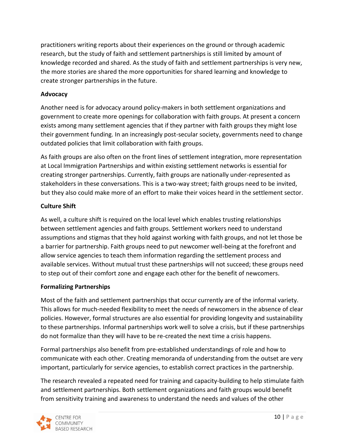practitioners writing reports about their experiences on the ground or through academic research, but the study of faith and settlement partnerships is still limited by amount of knowledge recorded and shared. As the study of faith and settlement partnerships is very new, the more stories are shared the more opportunities for shared learning and knowledge to create stronger partnerships in the future.

#### **Advocacy**

Another need is for advocacy around policy-makers in both settlement organizations and government to create more openings for collaboration with faith groups. At present a concern exists among many settlement agencies that if they partner with faith groups they might lose their government funding. In an increasingly post-secular society, governments need to change outdated policies that limit collaboration with faith groups.

As faith groups are also often on the front lines of settlement integration, more representation at Local Immigration Partnerships and within existing settlement networks is essential for creating stronger partnerships. Currently, faith groups are nationally under-represented as stakeholders in these conversations. This is a two-way street; faith groups need to be invited, but they also could make more of an effort to make their voices heard in the settlement sector.

#### **Culture Shift**

As well, a culture shift is required on the local level which enables trusting relationships between settlement agencies and faith groups. Settlement workers need to understand assumptions and stigmas that they hold against working with faith groups, and not let those be a barrier for partnership. Faith groups need to put newcomer well-being at the forefront and allow service agencies to teach them information regarding the settlement process and available services. Without mutual trust these partnerships will not succeed; these groups need to step out of their comfort zone and engage each other for the benefit of newcomers.

## **Formalizing Partnerships**

Most of the faith and settlement partnerships that occur currently are of the informal variety. This allows for much-needed flexibility to meet the needs of newcomers in the absence of clear policies. However, formal structures are also essential for providing longevity and sustainability to these partnerships. Informal partnerships work well to solve a crisis, but if these partnerships do not formalize than they will have to be re-created the next time a crisis happens.

Formal partnerships also benefit from pre-established understandings of role and how to communicate with each other. Creating memoranda of understanding from the outset are very important, particularly for service agencies, to establish correct practices in the partnership.

The research revealed a repeated need for training and capacity-building to help stimulate faith and settlement partnerships. Both settlement organizations and faith groups would benefit from sensitivity training and awareness to understand the needs and values of the other